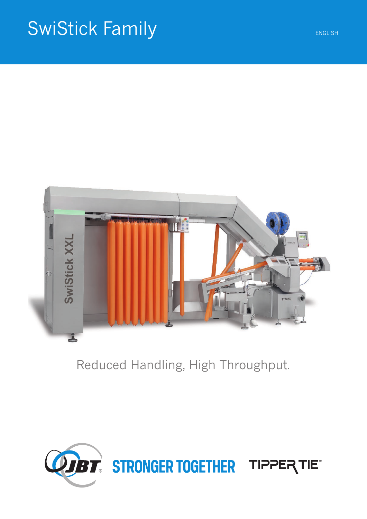# SwiStick Family ENGLISH



# Reduced Handling, High Throughput.

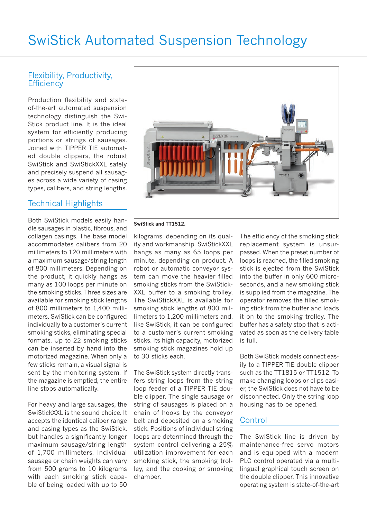# Flexibility, Productivity, **Efficiency**

Production flexibility and stateof-the-art automated suspension technology distinguish the Swi-Stick product line. It is the ideal system for efficiently producing portions or strings of sausages. Joined with TIPPER TIE automated double clippers, the robust SwiStick and SwiStickXXL safely and precisely suspend all sausages across a wide variety of casing types, calibers, and string lengths.

# Technical Highlights

Both SwiStick models easily handle sausages in plastic, fibrous, and collagen casings. The base model accommodates calibers from 20 millimeters to 120 millimeters with a maximum sausage/string length of 800 millimeters. Depending on the product, it quickly hangs as many as 100 loops per minute on the smoking sticks. Three sizes are available for smoking stick lengths of 800 millimeters to 1,400 millimeters. SwiStick can be configured individually to a customer's current smoking sticks, eliminating special formats. Up to 22 smoking sticks can be inserted by hand into the motorized magazine. When only a few sticks remain, a visual signal is sent by the monitoring system. If the magazine is emptied, the entire line stops automatically.

For heavy and large sausages, the SwiStickXXL is the sound choice. It accepts the identical caliber range and casing types as the SwiStick, but handles a significantly longer maximum sausage/string length of 1,700 millimeters. Individual sausage or chain weights can vary from 500 grams to 10 kilograms with each smoking stick capable of being loaded with up to 50



#### **SwiStick and TT1512.**

kilograms, depending on its quality and workmanship. SwiStickXXL hangs as many as 65 loops per minute, depending on product. A robot or automatic conveyor system can move the heavier filled smoking sticks from the SwiStick-XXL buffer to a smoking trolley. The SwiStickXXL is available for smoking stick lengths of 800 millimeters to 1,200 millimeters and, like SwiStick, it can be configured to a customer's current smoking sticks. Its high capacity, motorized smoking stick magazines hold up to 30 sticks each.

The SwiStick system directly transfers string loops from the string loop feeder of a TIPPER TIE double clipper. The single sausage or string of sausages is placed on a chain of hooks by the conveyor belt and deposited on a smoking stick. Positions of individual string loops are determined through the system control delivering a 25% utilization improvement for each smoking stick, the smoking trolley, and the cooking or smoking chamber.

The efficiency of the smoking stick replacement system is unsurpassed. When the preset number of loops is reached, the filled smoking stick is ejected from the SwiStick into the buffer in only 600 microseconds, and a new smoking stick is supplied from the magazine. The operator removes the filled smoking stick from the buffer and loads it on to the smoking trolley. The buffer has a safety stop that is activated as soon as the delivery table is full.

Both SwiStick models connect easily to a TIPPER TIE double clipper such as the TT1815 or TT1512. To make changing loops or clips easier, the SwiStick does not have to be disconnected. Only the string loop housing has to be opened.

# **Control**

The SwiStick line is driven by maintenance-free servo motors and is equipped with a modern PLC control operated via a multilingual graphical touch screen on the double clipper. This innovative operating system is state-of-the-art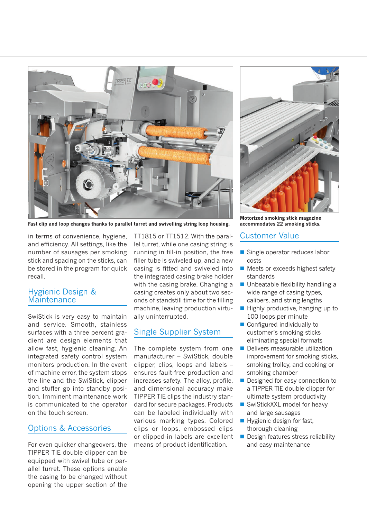

**Fast clip and loop changes thanks to parallel turret and swivelling string loop housing.**

in terms of convenience, hygiene, and efficiency. All settings, like the number of sausages per smoking stick and spacing on the sticks, can be stored in the program for quick recall.

#### Hygienic Design & **Maintenance**

SwiStick is very easy to maintain and service. Smooth, stainless surfaces with a three percent gradient are design elements that allow fast, hygienic cleaning. An integrated safety control system monitors production. In the event of machine error, the system stops the line and the SwiStick, clipper and stuffer go into standby position. Imminent maintenance work is communicated to the operator on the touch screen.

### Options & Accessories

For even quicker changeovers, the TIPPER TIE double clipper can be equipped with swivel tube or parallel turret. These options enable the casing to be changed without opening the upper section of the

TT1815 or TT1512. With the parallel turret, while one casing string is running in fill-in position, the free filler tube is swiveled up, and a new casing is fitted and swiveled into the integrated casing brake holder with the casing brake. Changing a casing creates only about two seconds of standstill time for the filling machine, leaving production virtually uninterrupted.

## Single Supplier System

The complete system from one manufacturer – SwiStick, double clipper, clips, loops and labels – ensures fault-free production and increases safety. The alloy, profile, and dimensional accuracy make TIPPER TIE clips the industry standard for secure packages. Products can be labeled individually with various marking types. Colored clips or loops, embossed clips or clipped-in labels are excellent means of product identification.



**Motorized smoking stick magazine accommodates 22 smoking sticks.**

## Customer Value

- Single operator reduces labor costs
- Meets or exceeds highest safety standards
- **Unbeatable flexibility handling a** wide range of casing types, calibers, and string lengths
- $\blacksquare$  Highly productive, hanging up to 100 loops per minute
- Configured individually to customer's smoking sticks eliminating special formats
- **Delivers measurable utilization** improvement for smoking sticks, smoking trolley, and cooking or smoking chamber
- Designed for easy connection to a TIPPER TIE double clipper for ultimate system productivity
- SwiStickXXL model for heavy and large sausages
- Hygienic design for fast, thorough cleaning
- Design features stress reliability and easy maintenance